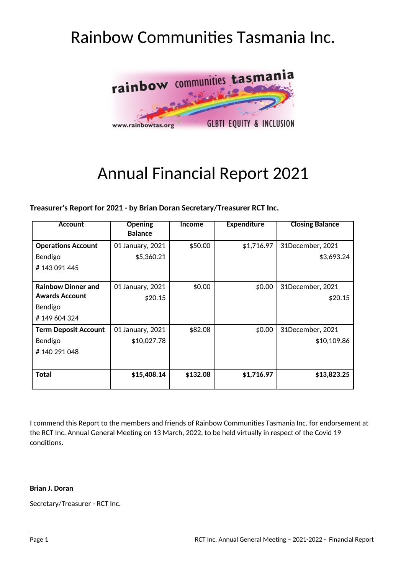# Rainbow Communites Tasmania Inc.



# Annual Financial Report 2021

**Treasurer's Report for 2021 - by Brian Doran Secretary/Treasurer RCT Inc.**

| <b>Account</b>              | <b>Opening</b>   | <b>Income</b> | <b>Expenditure</b> | <b>Closing Balance</b> |
|-----------------------------|------------------|---------------|--------------------|------------------------|
|                             | <b>Balance</b>   |               |                    |                        |
| <b>Operations Account</b>   | 01 January, 2021 | \$50.00       | \$1,716.97         | 31December, 2021       |
| Bendigo                     | \$5,360.21       |               |                    | \$3,693.24             |
| #143091445                  |                  |               |                    |                        |
|                             |                  |               |                    |                        |
| <b>Rainbow Dinner and</b>   | 01 January, 2021 | \$0.00        | \$0.00             | 31December, 2021       |
| <b>Awards Account</b>       | \$20.15          |               |                    | \$20.15                |
| Bendigo                     |                  |               |                    |                        |
| #149604324                  |                  |               |                    |                        |
| <b>Term Deposit Account</b> | 01 January, 2021 | \$82.08       | \$0.00             | 31December, 2021       |
| Bendigo                     | \$10,027.78      |               |                    | \$10,109.86            |
| #140 291 048                |                  |               |                    |                        |
|                             |                  |               |                    |                        |
| <b>Total</b>                | \$15,408.14      | \$132.08      | \$1,716.97         | \$13,823.25            |
|                             |                  |               |                    |                        |

I commend this Report to the members and friends of Rainbow Communites Tasmania Inc. for endorsement at the RCT Inc. Annual General Meeting on 13 March, 2022, to be held virtually in respect of the Covid 19 conditons.

#### **Brian J. Doran**

Secretary/Treasurer - RCT Inc.